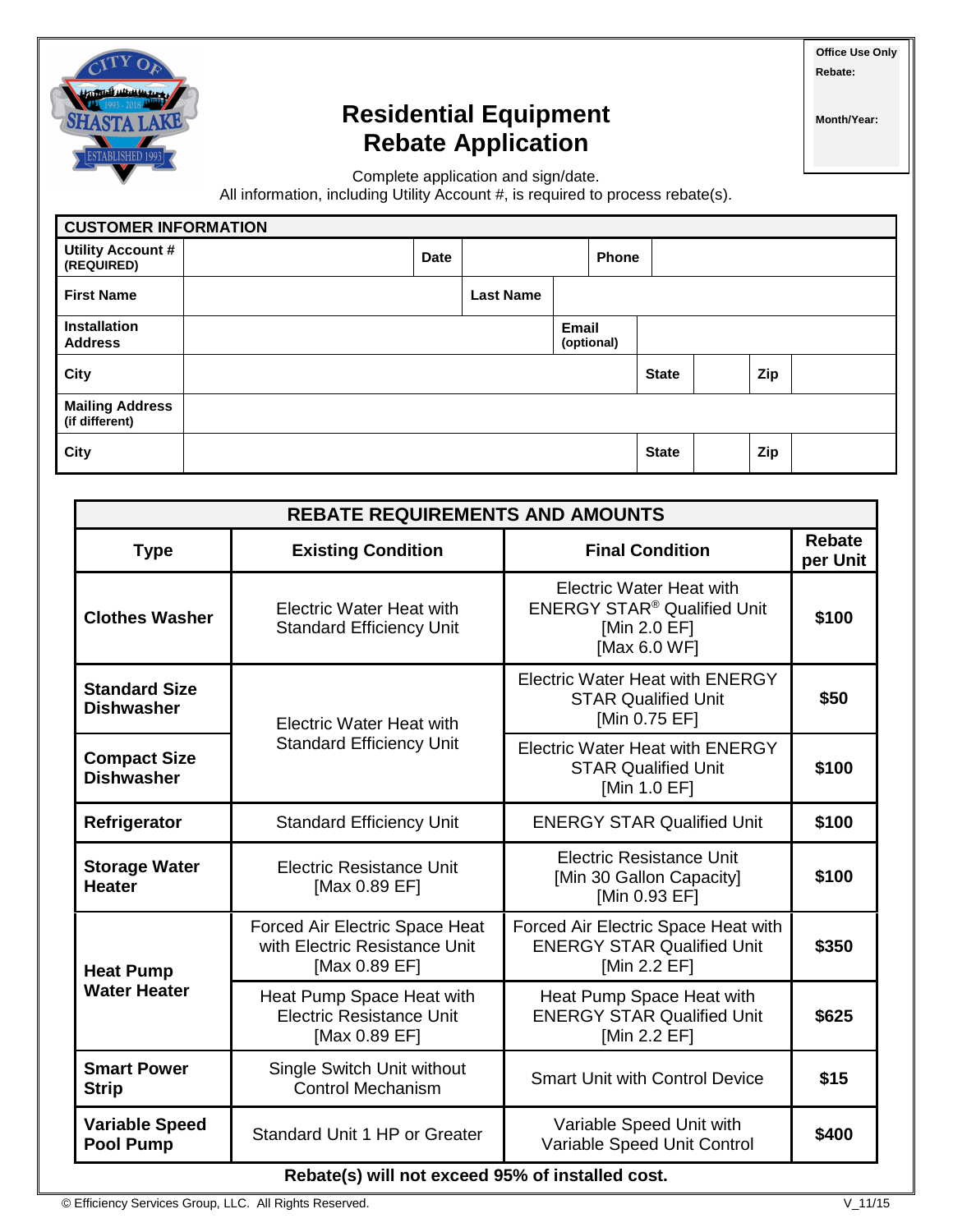

## **Residential Equipment Rebate Application**

**Month/Year:**

**Office Use Only Rebate:** 

Complete application and sign/date.

All information, including Utility Account #, is required to process rebate(s).

| <b>CUSTOMER INFORMATION</b>              |  |             |                  |       |              |              |  |     |  |
|------------------------------------------|--|-------------|------------------|-------|--------------|--------------|--|-----|--|
| <b>Utility Account #</b><br>(REQUIRED)   |  | <b>Date</b> |                  |       | <b>Phone</b> |              |  |     |  |
| <b>First Name</b>                        |  |             | <b>Last Name</b> |       |              |              |  |     |  |
| <b>Installation</b><br><b>Address</b>    |  |             |                  | Email | (optional)   |              |  |     |  |
| City                                     |  |             |                  |       |              | <b>State</b> |  | Zip |  |
| <b>Mailing Address</b><br>(if different) |  |             |                  |       |              |              |  |     |  |
| City                                     |  |             |                  |       |              | <b>State</b> |  | Zip |  |

| <b>REBATE REQUIREMENTS AND AMOUNTS</b>           |                                                                                  |                                                                                                                  |                           |  |  |  |  |
|--------------------------------------------------|----------------------------------------------------------------------------------|------------------------------------------------------------------------------------------------------------------|---------------------------|--|--|--|--|
| <b>Type</b>                                      | <b>Existing Condition</b>                                                        | <b>Final Condition</b>                                                                                           | <b>Rebate</b><br>per Unit |  |  |  |  |
| <b>Clothes Washer</b>                            | <b>Electric Water Heat with</b><br><b>Standard Efficiency Unit</b>               | <b>Electric Water Heat with</b><br><b>ENERGY STAR<sup>®</sup> Qualified Unit</b><br>[Min 2.0 EF]<br>[Max 6.0 WF] | \$100                     |  |  |  |  |
| <b>Standard Size</b><br><b>Dishwasher</b>        | <b>Electric Water Heat with</b>                                                  | <b>Electric Water Heat with ENERGY</b><br><b>STAR Qualified Unit</b><br>[Min 0.75 EF]                            | \$50                      |  |  |  |  |
| <b>Compact Size</b><br><b>Dishwasher</b>         | <b>Standard Efficiency Unit</b>                                                  | <b>Electric Water Heat with ENERGY</b><br><b>STAR Qualified Unit</b><br>[Min 1.0 EF]                             | \$100                     |  |  |  |  |
| Refrigerator                                     | <b>Standard Efficiency Unit</b>                                                  | <b>ENERGY STAR Qualified Unit</b>                                                                                | \$100                     |  |  |  |  |
| <b>Storage Water</b><br><b>Heater</b>            | <b>Electric Resistance Unit</b><br>[Max 0.89 EF]                                 | <b>Electric Resistance Unit</b><br>[Min 30 Gallon Capacity]<br>[Min 0.93 EF]                                     | \$100                     |  |  |  |  |
| <b>Heat Pump</b>                                 | Forced Air Electric Space Heat<br>with Electric Resistance Unit<br>[Max 0.89 EF] | Forced Air Electric Space Heat with<br><b>ENERGY STAR Qualified Unit</b><br>[Min 2.2 EF]                         | \$350                     |  |  |  |  |
| <b>Water Heater</b>                              | Heat Pump Space Heat with<br><b>Electric Resistance Unit</b><br>[Max 0.89 EF]    | Heat Pump Space Heat with<br><b>ENERGY STAR Qualified Unit</b><br>[Min 2.2 EF]                                   | \$625                     |  |  |  |  |
| <b>Smart Power</b><br><b>Strip</b>               | Single Switch Unit without<br><b>Control Mechanism</b>                           | <b>Smart Unit with Control Device</b>                                                                            | \$15                      |  |  |  |  |
| <b>Variable Speed</b><br><b>Pool Pump</b>        | Standard Unit 1 HP or Greater                                                    | Variable Speed Unit with<br>Variable Speed Unit Control                                                          | \$400                     |  |  |  |  |
| Rebate(s) will not exceed 95% of installed cost. |                                                                                  |                                                                                                                  |                           |  |  |  |  |

© Efficiency Services Group, LLC. All Rights Reserved. V\_11/15